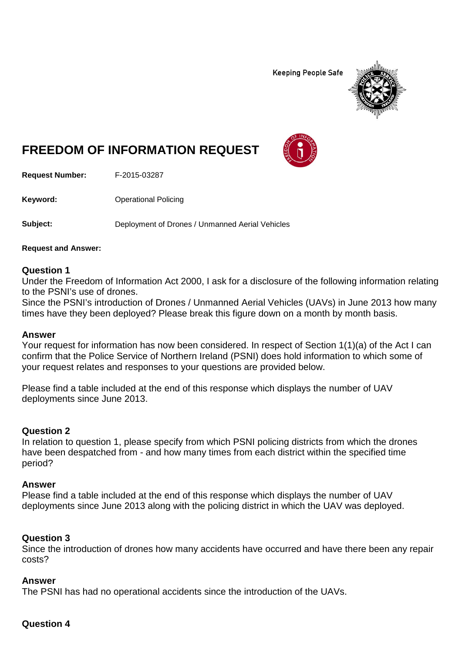**Keeping People Safe** 



# **FREEDOM OF INFORMATION REQUEST**

**Request Number:** F-2015-03287

**Keyword:** Operational Policing

**Subject:** Deployment of Drones / Unmanned Aerial Vehicles

**Request and Answer:**

#### **Question 1**

Under the Freedom of Information Act 2000, I ask for a disclosure of the following information relating to the PSNI's use of drones.

Since the PSNI's introduction of Drones / Unmanned Aerial Vehicles (UAVs) in June 2013 how many times have they been deployed? Please break this figure down on a month by month basis.

#### **Answer**

Your request for information has now been considered. In respect of Section 1(1)(a) of the Act I can confirm that the Police Service of Northern Ireland (PSNI) does hold information to which some of your request relates and responses to your questions are provided below.

Please find a table included at the end of this response which displays the number of UAV deployments since June 2013.

## **Question 2**

In relation to question 1, please specify from which PSNI policing districts from which the drones have been despatched from - and how many times from each district within the specified time period?

#### **Answer**

Please find a table included at the end of this response which displays the number of UAV deployments since June 2013 along with the policing district in which the UAV was deployed.

#### **Question 3**

Since the introduction of drones how many accidents have occurred and have there been any repair costs?

#### **Answer**

The PSNI has had no operational accidents since the introduction of the UAVs.

#### **Question 4**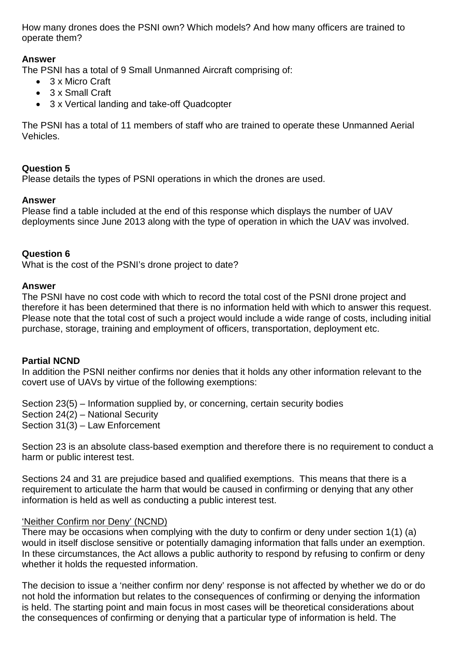How many drones does the PSNI own? Which models? And how many officers are trained to operate them?

# **Answer**

The PSNI has a total of 9 Small Unmanned Aircraft comprising of:

- 3 x Micro Craft
- 3 x Small Craft
- 3 x Vertical landing and take-off Quadcopter

The PSNI has a total of 11 members of staff who are trained to operate these Unmanned Aerial Vehicles.

# **Question 5**

Please details the types of PSNI operations in which the drones are used.

## **Answer**

Please find a table included at the end of this response which displays the number of UAV deployments since June 2013 along with the type of operation in which the UAV was involved.

#### **Question 6**

What is the cost of the PSNI's drone project to date?

#### **Answer**

The PSNI have no cost code with which to record the total cost of the PSNI drone project and therefore it has been determined that there is no information held with which to answer this request. Please note that the total cost of such a project would include a wide range of costs, including initial purchase, storage, training and employment of officers, transportation, deployment etc.

## **Partial NCND**

In addition the PSNI neither confirms nor denies that it holds any other information relevant to the covert use of UAVs by virtue of the following exemptions:

Section 23(5) – Information supplied by, or concerning, certain security bodies Section 24(2) – National Security Section 31(3) – Law Enforcement

Section 23 is an absolute class-based exemption and therefore there is no requirement to conduct a harm or public interest test.

Sections 24 and 31 are prejudice based and qualified exemptions. This means that there is a requirement to articulate the harm that would be caused in confirming or denying that any other information is held as well as conducting a public interest test.

## 'Neither Confirm nor Deny' (NCND)

There may be occasions when complying with the duty to confirm or deny under section 1(1) (a) would in itself disclose sensitive or potentially damaging information that falls under an exemption. In these circumstances, the Act allows a public authority to respond by refusing to confirm or deny whether it holds the requested information.

The decision to issue a 'neither confirm nor deny' response is not affected by whether we do or do not hold the information but relates to the consequences of confirming or denying the information is held. The starting point and main focus in most cases will be theoretical considerations about the consequences of confirming or denying that a particular type of information is held. The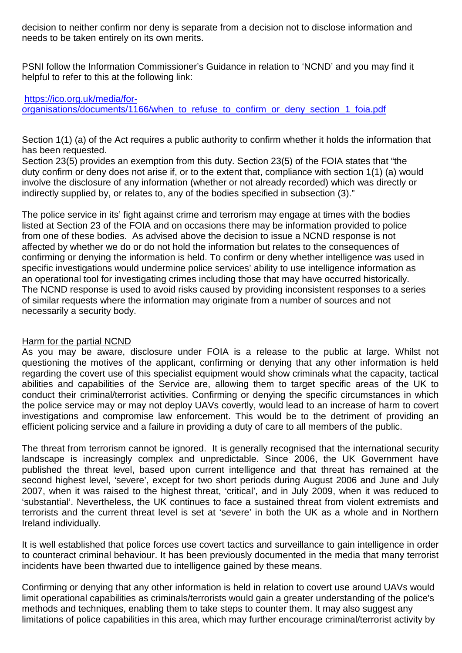decision to neither confirm nor deny is separate from a decision not to disclose information and needs to be taken entirely on its own merits.

PSNI follow the Information Commissioner's Guidance in relation to 'NCND' and you may find it helpful to refer to this at the following link:

# [https://ico.org.uk/media/for](https://ico.org.uk/media/for-organisations/documents/1166/when_to_refuse_to_confirm_or_deny_section_1_foia.pdf)[organisations/documents/1166/when\\_to\\_refuse\\_to\\_confirm\\_or\\_deny\\_section\\_1\\_foia.pdf](https://ico.org.uk/media/for-organisations/documents/1166/when_to_refuse_to_confirm_or_deny_section_1_foia.pdf)

Section 1(1) (a) of the Act requires a public authority to confirm whether it holds the information that has been requested.

Section 23(5) provides an exemption from this duty. Section 23(5) of the FOIA states that "the duty confirm or deny does not arise if, or to the extent that, compliance with section 1(1) (a) would involve the disclosure of any information (whether or not already recorded) which was directly or indirectly supplied by, or relates to, any of the bodies specified in subsection (3)."

The police service in its' fight against crime and terrorism may engage at times with the bodies listed at Section 23 of the FOIA and on occasions there may be information provided to police from one of these bodies. As advised above the decision to issue a NCND response is not affected by whether we do or do not hold the information but relates to the consequences of confirming or denying the information is held. To confirm or deny whether intelligence was used in specific investigations would undermine police services' ability to use intelligence information as an operational tool for investigating crimes including those that may have occurred historically. The NCND response is used to avoid risks caused by providing inconsistent responses to a series of similar requests where the information may originate from a number of sources and not necessarily a security body.

## Harm for the partial NCND

As you may be aware, disclosure under FOIA is a release to the public at large. Whilst not questioning the motives of the applicant, confirming or denying that any other information is held regarding the covert use of this specialist equipment would show criminals what the capacity, tactical abilities and capabilities of the Service are, allowing them to target specific areas of the UK to conduct their criminal/terrorist activities. Confirming or denying the specific circumstances in which the police service may or may not deploy UAVs covertly, would lead to an increase of harm to covert investigations and compromise law enforcement. This would be to the detriment of providing an efficient policing service and a failure in providing a duty of care to all members of the public.

The threat from terrorism cannot be ignored. It is generally recognised that the international security landscape is increasingly complex and unpredictable. Since 2006, the UK Government have published the threat level, based upon current intelligence and that threat has remained at the second highest level, 'severe', except for two short periods during August 2006 and June and July 2007, when it was raised to the highest threat, 'critical', and in July 2009, when it was reduced to 'substantial'. Nevertheless, the UK continues to face a sustained threat from violent extremists and terrorists and the current threat level is set at 'severe' in both the UK as a whole and in Northern Ireland individually.

It is well established that police forces use covert tactics and surveillance to gain intelligence in order to counteract criminal behaviour. It has been previously documented in the media that many terrorist incidents have been thwarted due to intelligence gained by these means.

Confirming or denying that any other information is held in relation to covert use around UAVs would limit operational capabilities as criminals/terrorists would gain a greater understanding of the police's methods and techniques, enabling them to take steps to counter them. It may also suggest any limitations of police capabilities in this area, which may further encourage criminal/terrorist activity by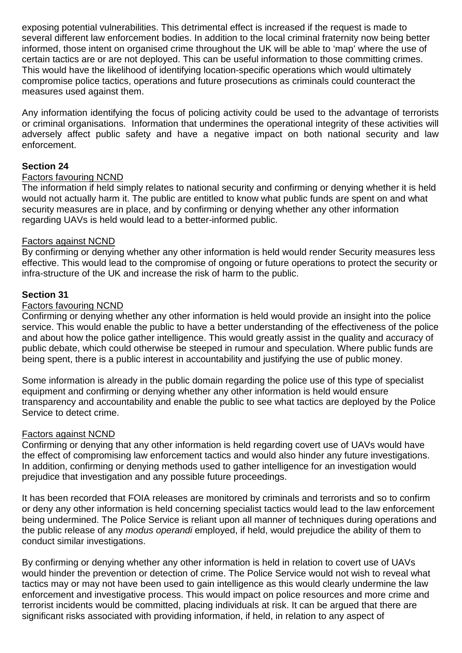exposing potential vulnerabilities. This detrimental effect is increased if the request is made to several different law enforcement bodies. In addition to the local criminal fraternity now being better informed, those intent on organised crime throughout the UK will be able to 'map' where the use of certain tactics are or are not deployed. This can be useful information to those committing crimes. This would have the likelihood of identifying location-specific operations which would ultimately compromise police tactics, operations and future prosecutions as criminals could counteract the measures used against them.

Any information identifying the focus of policing activity could be used to the advantage of terrorists or criminal organisations. Information that undermines the operational integrity of these activities will adversely affect public safety and have a negative impact on both national security and law enforcement.

# **Section 24**

## Factors favouring NCND

The information if held simply relates to national security and confirming or denying whether it is held would not actually harm it. The public are entitled to know what public funds are spent on and what security measures are in place, and by confirming or denying whether any other information regarding UAVs is held would lead to a better-informed public.

#### Factors against NCND

By confirming or denying whether any other information is held would render Security measures less effective. This would lead to the compromise of ongoing or future operations to protect the security or infra-structure of the UK and increase the risk of harm to the public.

## **Section 31**

#### Factors favouring NCND

Confirming or denying whether any other information is held would provide an insight into the police service. This would enable the public to have a better understanding of the effectiveness of the police and about how the police gather intelligence. This would greatly assist in the quality and accuracy of public debate, which could otherwise be steeped in rumour and speculation. Where public funds are being spent, there is a public interest in accountability and justifying the use of public money.

Some information is already in the public domain regarding the police use of this type of specialist equipment and confirming or denying whether any other information is held would ensure transparency and accountability and enable the public to see what tactics are deployed by the Police Service to detect crime.

#### Factors against NCND

Confirming or denying that any other information is held regarding covert use of UAVs would have the effect of compromising law enforcement tactics and would also hinder any future investigations. In addition, confirming or denying methods used to gather intelligence for an investigation would prejudice that investigation and any possible future proceedings.

It has been recorded that FOIA releases are monitored by criminals and terrorists and so to confirm or deny any other information is held concerning specialist tactics would lead to the law enforcement being undermined. The Police Service is reliant upon all manner of techniques during operations and the public release of any *modus operandi* employed, if held, would prejudice the ability of them to conduct similar investigations.

By confirming or denying whether any other information is held in relation to covert use of UAVs would hinder the prevention or detection of crime. The Police Service would not wish to reveal what tactics may or may not have been used to gain intelligence as this would clearly undermine the law enforcement and investigative process. This would impact on police resources and more crime and terrorist incidents would be committed, placing individuals at risk. It can be argued that there are significant risks associated with providing information, if held, in relation to any aspect of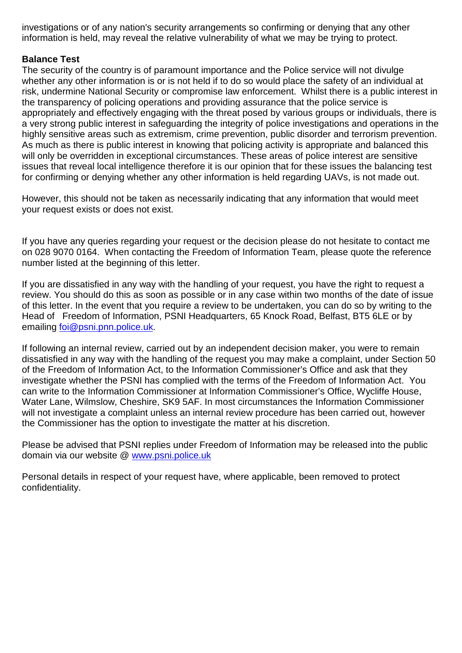investigations or of any nation's security arrangements so confirming or denying that any other information is held, may reveal the relative vulnerability of what we may be trying to protect.

# **Balance Test**

The security of the country is of paramount importance and the Police service will not divulge whether any other information is or is not held if to do so would place the safety of an individual at risk, undermine National Security or compromise law enforcement. Whilst there is a public interest in the transparency of policing operations and providing assurance that the police service is appropriately and effectively engaging with the threat posed by various groups or individuals, there is a very strong public interest in safeguarding the integrity of police investigations and operations in the highly sensitive areas such as extremism, crime prevention, public disorder and terrorism prevention. As much as there is public interest in knowing that policing activity is appropriate and balanced this will only be overridden in exceptional circumstances. These areas of police interest are sensitive issues that reveal local intelligence therefore it is our opinion that for these issues the balancing test for confirming or denying whether any other information is held regarding UAVs, is not made out.

However, this should not be taken as necessarily indicating that any information that would meet your request exists or does not exist.

If you have any queries regarding your request or the decision please do not hesitate to contact me on 028 9070 0164. When contacting the Freedom of Information Team, please quote the reference number listed at the beginning of this letter.

If you are dissatisfied in any way with the handling of your request, you have the right to request a review. You should do this as soon as possible or in any case within two months of the date of issue of this letter. In the event that you require a review to be undertaken, you can do so by writing to the Head of Freedom of Information, PSNI Headquarters, 65 Knock Road, Belfast, BT5 6LE or by emailing [foi@psni.pnn.police.uk.](mailto:foi@psni.pnn.police.uk)

If following an internal review, carried out by an independent decision maker, you were to remain dissatisfied in any way with the handling of the request you may make a complaint, under Section 50 of the Freedom of Information Act, to the Information Commissioner's Office and ask that they investigate whether the PSNI has complied with the terms of the Freedom of Information Act. You can write to the Information Commissioner at Information Commissioner's Office, Wycliffe House, Water Lane, Wilmslow, Cheshire, SK9 5AF. In most circumstances the Information Commissioner will not investigate a complaint unless an internal review procedure has been carried out, however the Commissioner has the option to investigate the matter at his discretion.

Please be advised that PSNI replies under Freedom of Information may be released into the public domain via our website @ [www.psni.police.uk](http://www.psni.police.uk/)

Personal details in respect of your request have, where applicable, been removed to protect confidentiality.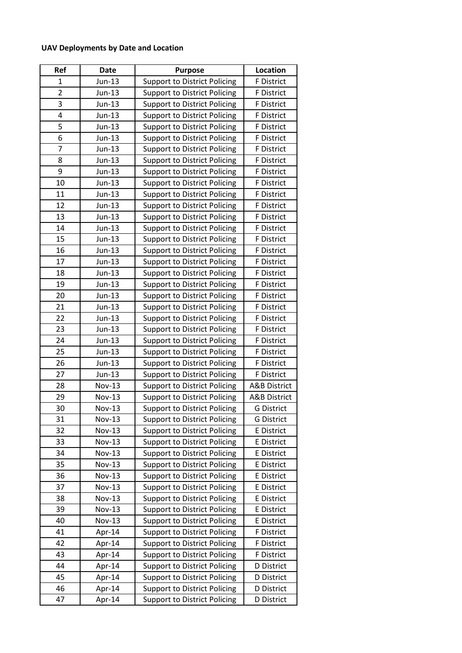# **UAV Deployments by Date and Location**

| Ref            | <b>Date</b>   | <b>Purpose</b>                      | <b>Location</b>         |
|----------------|---------------|-------------------------------------|-------------------------|
| $\mathbf{1}$   | Jun-13        | <b>Support to District Policing</b> | F District              |
| $\overline{2}$ | Jun-13        | <b>Support to District Policing</b> | F District              |
| 3              | $Jun-13$      | <b>Support to District Policing</b> | F District              |
| 4              | $Jun-13$      | <b>Support to District Policing</b> | F District              |
| 5              | Jun-13        | <b>Support to District Policing</b> | F District              |
| 6              | Jun-13        | <b>Support to District Policing</b> | F District              |
| 7              | $Jun-13$      | <b>Support to District Policing</b> | F District              |
| 8              | Jun-13        | <b>Support to District Policing</b> | F District              |
| 9              | Jun-13        | <b>Support to District Policing</b> | F District              |
| 10             | Jun-13        | <b>Support to District Policing</b> | F District              |
| 11             | Jun-13        | <b>Support to District Policing</b> | F District              |
| 12             | Jun-13        | <b>Support to District Policing</b> | F District              |
| 13             | Jun-13        | <b>Support to District Policing</b> | F District              |
| 14             | Jun-13        | <b>Support to District Policing</b> | F District              |
| 15             | Jun-13        | <b>Support to District Policing</b> | F District              |
| 16             | $Jun-13$      | <b>Support to District Policing</b> | F District              |
| 17             | Jun-13        | <b>Support to District Policing</b> | F District              |
| 18             | Jun-13        | <b>Support to District Policing</b> | F District              |
| 19             | $Jun-13$      | <b>Support to District Policing</b> | F District              |
| 20             | Jun-13        | <b>Support to District Policing</b> | <b>F</b> District       |
| 21             | $Jun-13$      | <b>Support to District Policing</b> | F District              |
| 22             | Jun-13        | <b>Support to District Policing</b> | F District              |
| 23             | Jun-13        | <b>Support to District Policing</b> | F District              |
| 24             | Jun-13        | <b>Support to District Policing</b> | F District              |
| 25             | Jun-13        | <b>Support to District Policing</b> | F District              |
| 26             | $Jun-13$      | <b>Support to District Policing</b> | <b>F</b> District       |
| 27             | Jun-13        | <b>Support to District Policing</b> | F District              |
| 28             | <b>Nov-13</b> | <b>Support to District Policing</b> | <b>A&amp;B District</b> |
| 29             | <b>Nov-13</b> | <b>Support to District Policing</b> | <b>A&amp;B District</b> |
| 30             | $Nov-13$      | Support to District Policing        | <b>G</b> District       |
| 31             | Nov-13        | <b>Support to District Policing</b> | <b>G</b> District       |
| 32             | <b>Nov-13</b> | <b>Support to District Policing</b> | <b>E</b> District       |
| 33             | <b>Nov-13</b> | <b>Support to District Policing</b> | <b>E</b> District       |
| 34             | <b>Nov-13</b> | <b>Support to District Policing</b> | E District              |
| 35             | <b>Nov-13</b> | <b>Support to District Policing</b> | E District              |
| 36             | <b>Nov-13</b> | <b>Support to District Policing</b> | E District              |
| 37             | <b>Nov-13</b> | <b>Support to District Policing</b> | E District              |
| 38             | <b>Nov-13</b> | <b>Support to District Policing</b> | E District              |
| 39             | Nov-13        | <b>Support to District Policing</b> | <b>E</b> District       |
| 40             | <b>Nov-13</b> | <b>Support to District Policing</b> | E District              |
| 41             | Apr-14        | <b>Support to District Policing</b> | F District              |
| 42             | Apr-14        | <b>Support to District Policing</b> | F District              |
| 43             | Apr-14        | Support to District Policing        | F District              |
| 44             | Apr-14        | <b>Support to District Policing</b> | D District              |
| 45             | Apr-14        | <b>Support to District Policing</b> | D District              |
| 46             | Apr-14        | <b>Support to District Policing</b> | D District              |
| 47             | Apr-14        | <b>Support to District Policing</b> | D District              |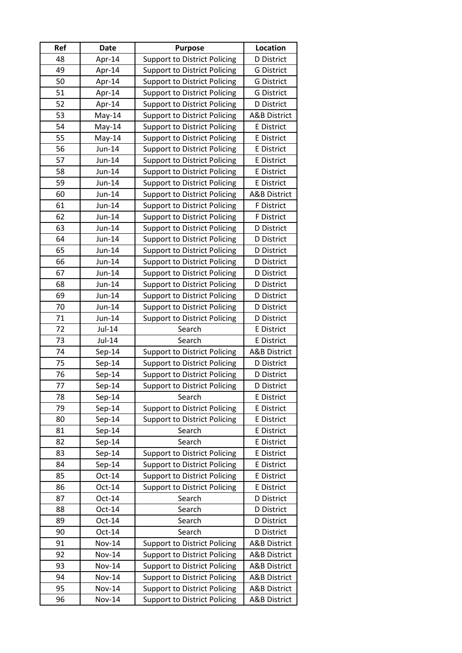| Ref | <b>Date</b>   | <b>Purpose</b>                      | Location                |
|-----|---------------|-------------------------------------|-------------------------|
| 48  | Apr-14        | <b>Support to District Policing</b> | <b>D</b> District       |
| 49  | Apr-14        | <b>Support to District Policing</b> | <b>G District</b>       |
| 50  | Apr-14        | <b>Support to District Policing</b> | <b>G District</b>       |
| 51  | Apr-14        | <b>Support to District Policing</b> | <b>G District</b>       |
| 52  | Apr-14        | <b>Support to District Policing</b> | D District              |
| 53  | $May-14$      | <b>Support to District Policing</b> | <b>A&amp;B District</b> |
| 54  | $May-14$      | <b>Support to District Policing</b> | <b>E</b> District       |
| 55  | $May-14$      | <b>Support to District Policing</b> | <b>E</b> District       |
| 56  | Jun-14        | <b>Support to District Policing</b> | E District              |
| 57  | Jun-14        | <b>Support to District Policing</b> | E District              |
| 58  | Jun-14        | <b>Support to District Policing</b> | E District              |
| 59  | Jun-14        | <b>Support to District Policing</b> | E District              |
| 60  | Jun-14        | <b>Support to District Policing</b> | <b>A&amp;B District</b> |
| 61  | Jun-14        | <b>Support to District Policing</b> | F District              |
| 62  | Jun-14        | <b>Support to District Policing</b> | F District              |
| 63  | Jun-14        | <b>Support to District Policing</b> | <b>D</b> District       |
| 64  | Jun-14        | <b>Support to District Policing</b> | <b>D</b> District       |
| 65  | Jun-14        | <b>Support to District Policing</b> | <b>D</b> District       |
| 66  | Jun-14        | <b>Support to District Policing</b> | <b>D</b> District       |
| 67  | Jun-14        | <b>Support to District Policing</b> | <b>D</b> District       |
| 68  | Jun-14        | <b>Support to District Policing</b> | D District              |
| 69  | Jun-14        | <b>Support to District Policing</b> | <b>D</b> District       |
| 70  | Jun-14        | <b>Support to District Policing</b> | D District              |
| 71  | Jun-14        | <b>Support to District Policing</b> | <b>D</b> District       |
| 72  | Jul-14        | Search                              | E District              |
| 73  | Jul-14        | Search                              | E District              |
| 74  | Sep-14        | <b>Support to District Policing</b> | <b>A&amp;B District</b> |
| 75  | $Sep-14$      | <b>Support to District Policing</b> | D District              |
| 76  | $Sep-14$      | <b>Support to District Policing</b> | D District              |
| 77  | $Sep-14$      | <b>Support to District Policing</b> | <b>D</b> District       |
| 78  | $Sep-14$      | Search                              | E District              |
| 79  | $Sep-14$      | <b>Support to District Policing</b> | E District              |
| 80  | $Sep-14$      | <b>Support to District Policing</b> | E District              |
| 81  | $Sep-14$      | Search                              | E District              |
| 82  | $Sep-14$      | Search                              | E District              |
| 83  | $Sep-14$      | <b>Support to District Policing</b> | <b>E</b> District       |
| 84  | $Sep-14$      | <b>Support to District Policing</b> | <b>E</b> District       |
| 85  | Oct-14        | <b>Support to District Policing</b> | <b>E</b> District       |
| 86  | Oct-14        | <b>Support to District Policing</b> | <b>E</b> District       |
| 87  | $Oct-14$      | Search                              | <b>D</b> District       |
| 88  | Oct-14        | Search                              | D District              |
| 89  | Oct-14        | Search                              | D District              |
| 90  | Oct-14        | Search                              | <b>D</b> District       |
| 91  | <b>Nov-14</b> | <b>Support to District Policing</b> | <b>A&amp;B District</b> |
| 92  | <b>Nov-14</b> | <b>Support to District Policing</b> | <b>A&amp;B District</b> |
| 93  | <b>Nov-14</b> | <b>Support to District Policing</b> | <b>A&amp;B District</b> |
| 94  | <b>Nov-14</b> | <b>Support to District Policing</b> | <b>A&amp;B District</b> |
| 95  | <b>Nov-14</b> | <b>Support to District Policing</b> | <b>A&amp;B District</b> |
| 96  | <b>Nov-14</b> | <b>Support to District Policing</b> | <b>A&amp;B District</b> |